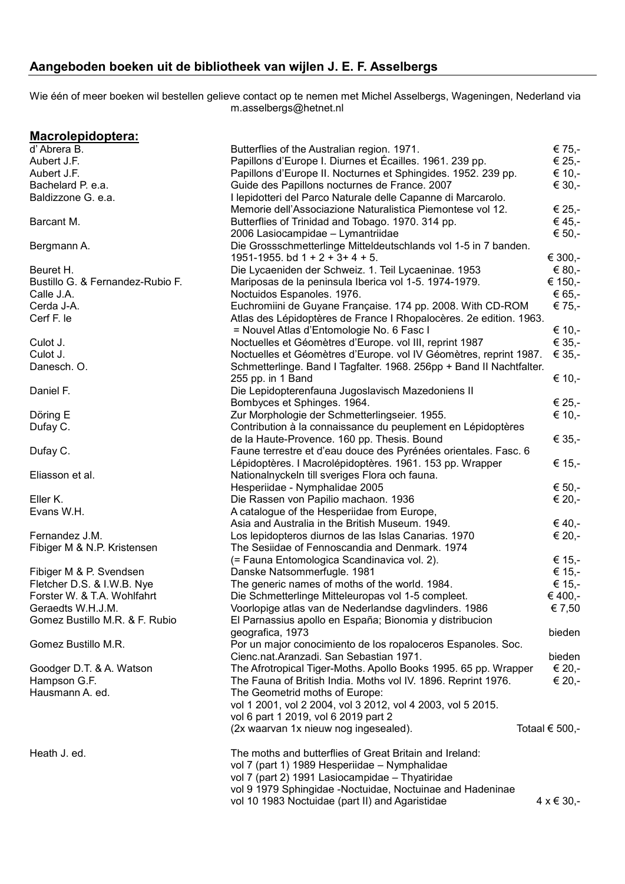## **Aangeboden boeken uit de bibliotheek van wijlen J. E. F. Asselbergs**

Wie één of meer boeken wil bestellen gelieve contact op te nemen met Michel Asselbergs, Wageningen, Nederland via m.asselbergs@hetnet.nl

| Macrolepidoptera:                |                                                                      |                           |
|----------------------------------|----------------------------------------------------------------------|---------------------------|
| d'Abrera B.                      | Butterflies of the Australian region. 1971.                          | € 75,-                    |
| Aubert J.F.                      | Papillons d'Europe I. Diurnes et Écailles. 1961. 239 pp.             | € 25,-                    |
| Aubert J.F.                      | Papillons d'Europe II. Nocturnes et Sphingides. 1952. 239 pp.        | € 10,-                    |
| Bachelard P. e.a.                | Guide des Papillons nocturnes de France. 2007                        | € 30,-                    |
| Baldizzone G. e.a.               | I lepidotteri del Parco Naturale delle Capanne di Marcarolo.         |                           |
|                                  | Memorie dell'Associazione Naturalistica Piemontese vol 12.           | € 25,-                    |
| Barcant M.                       | Butterflies of Trinidad and Tobago. 1970. 314 pp.                    | € 45,-                    |
|                                  | 2006 Lasiocampidae - Lymantriidae                                    | € 50,-                    |
| Bergmann A.                      | Die Grossschmetterlinge Mitteldeutschlands vol 1-5 in 7 banden.      |                           |
|                                  | 1951-1955. bd $1 + 2 + 3 + 4 + 5$ .                                  | € 300,-                   |
|                                  |                                                                      | € 80,-                    |
| Beuret H.                        | Die Lycaeniden der Schweiz. 1. Teil Lycaeninae. 1953                 |                           |
| Bustillo G. & Fernandez-Rubio F. | Mariposas de la peninsula Iberica vol 1-5. 1974-1979.                | € 150,-                   |
| Calle J.A.                       | Noctuidos Espanoles. 1976.                                           | € 65,-                    |
| Cerda J-A.                       | Euchromiini de Guyane Française. 174 pp. 2008. With CD-ROM           | € 75,-                    |
| Cerf F. le                       | Atlas des Lépidoptères de France I Rhopalocères. 2e edition. 1963.   |                           |
|                                  | = Nouvel Atlas d'Entomologie No. 6 Fasc I                            | € 10,-                    |
| Culot J.                         | Noctuelles et Géomètres d'Europe. vol III, reprint 1987              | € 35,-                    |
| Culot J.                         | Noctuelles et Géomètres d'Europe. vol IV Géomètres, reprint 1987.    | € 35,-                    |
| Danesch. O.                      | Schmetterlinge. Band I Tagfalter. 1968. 256pp + Band II Nachtfalter. |                           |
|                                  | 255 pp. in 1 Band                                                    | € 10,-                    |
| Daniel F.                        | Die Lepidopterenfauna Jugoslavisch Mazedoniens II                    |                           |
|                                  | Bombyces et Sphinges. 1964.                                          | € 25,-                    |
| Döring E                         | Zur Morphologie der Schmetterlingseier. 1955.                        | € 10,-                    |
| Dufay C.                         | Contribution à la connaissance du peuplement en Lépidoptères         |                           |
|                                  | de la Haute-Provence. 160 pp. Thesis. Bound                          | € 35,-                    |
| Dufay C.                         | Faune terrestre et d'eau douce des Pyrénées orientales. Fasc. 6      |                           |
|                                  | Lépidoptères. I Macrolépidoptères. 1961. 153 pp. Wrapper             | € 15,-                    |
| Eliasson et al.                  | Nationalnyckeln till sveriges Flora och fauna.                       |                           |
|                                  | Hesperiidae - Nymphalidae 2005                                       | € 50,-                    |
| Eller K.                         | Die Rassen von Papilio machaon. 1936                                 | € 20,-                    |
| Evans W.H.                       | A catalogue of the Hesperiidae from Europe,                          |                           |
|                                  |                                                                      | € 40,-                    |
| Fernandez J.M.                   | Asia and Australia in the British Museum. 1949.                      |                           |
|                                  | Los lepidopteros diurnos de las Islas Canarias. 1970                 | € 20,-                    |
| Fibiger M & N.P. Kristensen      | The Sesiidae of Fennoscandia and Denmark. 1974                       |                           |
|                                  | (= Fauna Entomologica Scandinavica vol. 2).                          | € 15,-                    |
| Fibiger M & P. Svendsen          | Danske Natsommerfugle. 1981                                          | € 15,-                    |
| Fletcher D.S. & I.W.B. Nye       | The generic names of moths of the world. 1984.                       | € 15,-                    |
| Forster W. & T.A. Wohlfahrt      | Die Schmetterlinge Mitteleuropas vol 1-5 compleet.                   | € 400,-                   |
| Geraedts W.H.J.M.                | Voorlopige atlas van de Nederlandse dagvlinders. 1986                | € 7,50                    |
| Gomez Bustillo M.R. & F. Rubio   | El Parnassius apollo en España; Bionomia y distribucion              |                           |
|                                  | geografica, 1973                                                     | bieden                    |
| Gomez Bustillo M.R.              | Por un major conocimiento de los ropaloceros Espanoles. Soc.         |                           |
|                                  | Cienc.nat.Aranzadi. San Sebastian 1971.                              | bieden                    |
| Goodger D.T. & A. Watson         | The Afrotropical Tiger-Moths. Apollo Books 1995. 65 pp. Wrapper      | € 20,-                    |
| Hampson G.F.                     | The Fauna of British India. Moths vol IV. 1896. Reprint 1976.        | € 20,-                    |
| Hausmann A. ed.                  | The Geometrid moths of Europe:                                       |                           |
|                                  | vol 1 2001, vol 2 2004, vol 3 2012, vol 4 2003, vol 5 2015.          |                           |
|                                  | vol 6 part 1 2019, vol 6 2019 part 2                                 |                           |
|                                  | (2x waarvan 1x nieuw nog ingesealed).                                | Totaal $\epsilon$ 500,-   |
| Heath J. ed.                     | The moths and butterflies of Great Britain and Ireland:              |                           |
|                                  | vol 7 (part 1) 1989 Hesperiidae - Nymphalidae                        |                           |
|                                  | vol 7 (part 2) 1991 Lasiocampidae - Thyatiridae                      |                           |
|                                  | vol 9 1979 Sphingidae -Noctuidae, Noctuinae and Hadeninae            |                           |
|                                  | vol 10 1983 Noctuidae (part II) and Agaristidae                      | $4 \times 6 \times 30$ ,- |
|                                  |                                                                      |                           |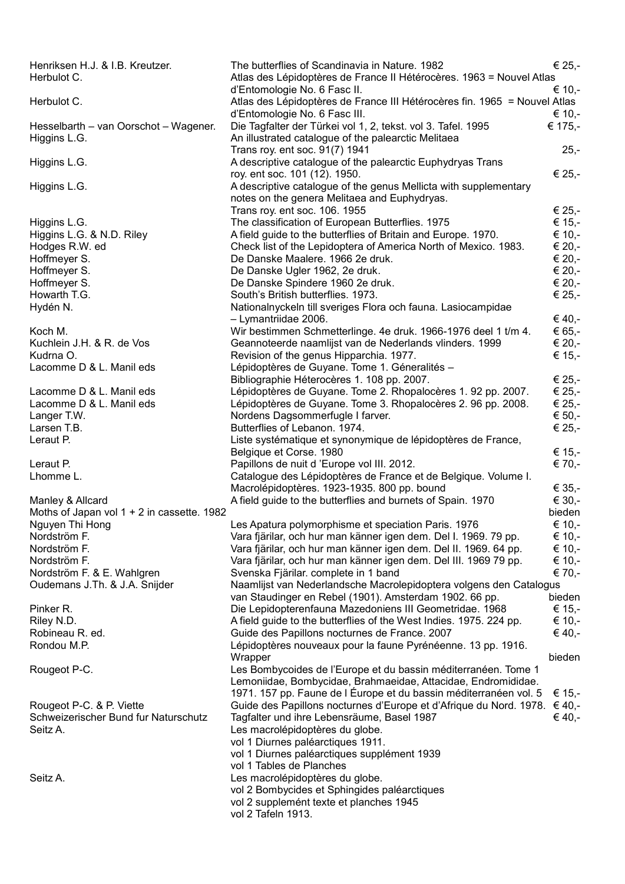| Henriksen H.J. & I.B. Kreutzer.              | The butterflies of Scandinavia in Nature. 1982                            | € 25,-  |
|----------------------------------------------|---------------------------------------------------------------------------|---------|
| Herbulot C.                                  | Atlas des Lépidoptères de France II Hétérocères. 1963 = Nouvel Atlas      |         |
|                                              | d'Entomologie No. 6 Fasc II.                                              | € 10,-  |
| Herbulot C.                                  | Atlas des Lépidoptères de France III Hétérocères fin. 1965 = Nouvel Atlas |         |
|                                              | d'Entomologie No. 6 Fasc III.                                             | € 10,-  |
| Hesselbarth - van Oorschot - Wagener.        | Die Tagfalter der Türkei vol 1, 2, tekst. vol 3. Tafel. 1995              | € 175,- |
| Higgins L.G.                                 | An illustrated catalogue of the palearctic Melitaea                       |         |
|                                              | Trans roy. ent soc. 91(7) 1941                                            | $25,-$  |
| Higgins L.G.                                 | A descriptive catalogue of the palearctic Euphydryas Trans                |         |
|                                              | roy. ent soc. 101 (12). 1950.                                             | € 25,-  |
| Higgins L.G.                                 | A descriptive catalogue of the genus Mellicta with supplementary          |         |
|                                              | notes on the genera Melitaea and Euphydryas.                              |         |
|                                              | Trans roy. ent soc. 106. 1955                                             | € 25,-  |
| Higgins L.G.                                 | The classification of European Butterflies. 1975                          | € 15,-  |
| Higgins L.G. & N.D. Riley                    | A field guide to the butterflies of Britain and Europe. 1970.             | € 10,-  |
| Hodges R.W. ed                               | Check list of the Lepidoptera of America North of Mexico. 1983.           | € 20,-  |
| Hoffmeyer S.                                 | De Danske Maalere. 1966 2e druk.                                          | € 20,-  |
| Hoffmeyer S.                                 | De Danske Ugler 1962, 2e druk.                                            | € 20,-  |
| Hoffmeyer S.                                 | De Danske Spindere 1960 2e druk.                                          | € 20,-  |
| Howarth T.G.                                 | South's British butterflies. 1973.                                        | € 25,-  |
| Hydén N.                                     | Nationalnyckeln till sveriges Flora och fauna. Lasiocampidae              |         |
|                                              | - Lymantriidae 2006.                                                      | € 40,-  |
| Koch M.                                      | Wir bestimmen Schmetterlinge. 4e druk. 1966-1976 deel 1 t/m 4.            | € 65,-  |
| Kuchlein J.H. & R. de Vos                    | Geannoteerde naamlijst van de Nederlands vlinders. 1999                   | € 20,-  |
| Kudrna O.                                    | Revision of the genus Hipparchia. 1977.                                   | € 15,-  |
| Lacomme D & L. Manil eds                     | Lépidoptères de Guyane. Tome 1. Géneralités -                             |         |
|                                              | Bibliographie Héterocères 1. 108 pp. 2007.                                | € 25,-  |
| Lacomme D & L. Manil eds                     | Lépidoptères de Guyane. Tome 2. Rhopalocères 1. 92 pp. 2007.              | € 25,-  |
| Lacomme D & L. Manil eds                     | Lépidoptères de Guyane. Tome 3. Rhopalocères 2. 96 pp. 2008.              | € 25,-  |
| Langer T.W.                                  | Nordens Dagsommerfugle I farver.                                          | € 50,-  |
| Larsen T.B.                                  | Butterflies of Lebanon. 1974.                                             | € 25,-  |
|                                              |                                                                           |         |
| Leraut P.                                    | Liste systématique et synonymique de lépidoptères de France,              |         |
|                                              | Belgique et Corse. 1980                                                   | € 15,-  |
| Leraut P.                                    | Papillons de nuit d'Europe vol III. 2012.                                 | € 70,-  |
| Lhomme L.                                    | Catalogue des Lépidoptères de France et de Belgique. Volume I.            |         |
|                                              | Macrolépidoptères. 1923-1935. 800 pp. bound                               | € 35,-  |
| Manley & Allcard                             | A field guide to the butterflies and burnets of Spain. 1970               | € 30,-  |
| Moths of Japan vol $1 + 2$ in cassette. 1982 |                                                                           | bieden  |
| Nguyen Thi Hong                              | Les Apatura polymorphisme et speciation Paris. 1976                       | € 10,-  |
| Nordström F.                                 | Vara fjärilar, och hur man känner igen dem. Del I. 1969. 79 pp.           | € 10,-  |
| Nordström F.                                 | Vara fjärilar, och hur man känner igen dem. Del II. 1969. 64 pp.          | € 10,-  |
| Nordström F.                                 | Vara fjärilar, och hur man känner igen dem. Del III. 1969 79 pp.          | € 10,-  |
| Nordström F. & E. Wahlgren                   | Svenska Fjärilar. complete in 1 band                                      | € 70,-  |
| Oudemans J.Th. & J.A. Snijder                | Naamlijst van Nederlandsche Macrolepidoptera volgens den Catalogus        |         |
|                                              | van Staudinger en Rebel (1901). Amsterdam 1902. 66 pp.                    | bieden  |
| Pinker R.                                    | Die Lepidopterenfauna Mazedoniens III Geometridae. 1968                   | € 15,-  |
| Riley N.D.                                   | A field guide to the butterflies of the West Indies. 1975. 224 pp.        | € 10,-  |
| Robineau R. ed.                              | Guide des Papillons nocturnes de France. 2007                             | € 40,-  |
| Rondou M.P.                                  | Lépidoptères nouveaux pour la faune Pyrénéenne. 13 pp. 1916.              |         |
|                                              | Wrapper                                                                   | bieden  |
| Rougeot P-C.                                 | Les Bombycoides de l'Europe et du bassin méditerranéen. Tome 1            |         |
|                                              | Lemoniidae, Bombycidae, Brahmaeidae, Attacidae, Endromididae.             |         |
|                                              | 1971. 157 pp. Faune de l Éurope et du bassin méditerranéen vol. 5         | € 15,-  |
| Rougeot P-C. & P. Viette                     | Guide des Papillons nocturnes d'Europe et d'Afrique du Nord. 1978. € 40,- |         |
| Schweizerischer Bund fur Naturschutz         | Tagfalter und ihre Lebensräume, Basel 1987                                | € 40,-  |
| Seitz A.                                     | Les macrolépidoptères du globe.                                           |         |
|                                              | vol 1 Diurnes paléarctiques 1911.                                         |         |
|                                              | vol 1 Diurnes paléarctiques supplément 1939                               |         |
|                                              | vol 1 Tables de Planches                                                  |         |
| Seitz A.                                     | Les macrolépidoptères du globe.                                           |         |
|                                              | vol 2 Bombycides et Sphingides paléarctiques                              |         |
|                                              | vol 2 supplemént texte et planches 1945                                   |         |
|                                              | vol 2 Tafeln 1913.                                                        |         |
|                                              |                                                                           |         |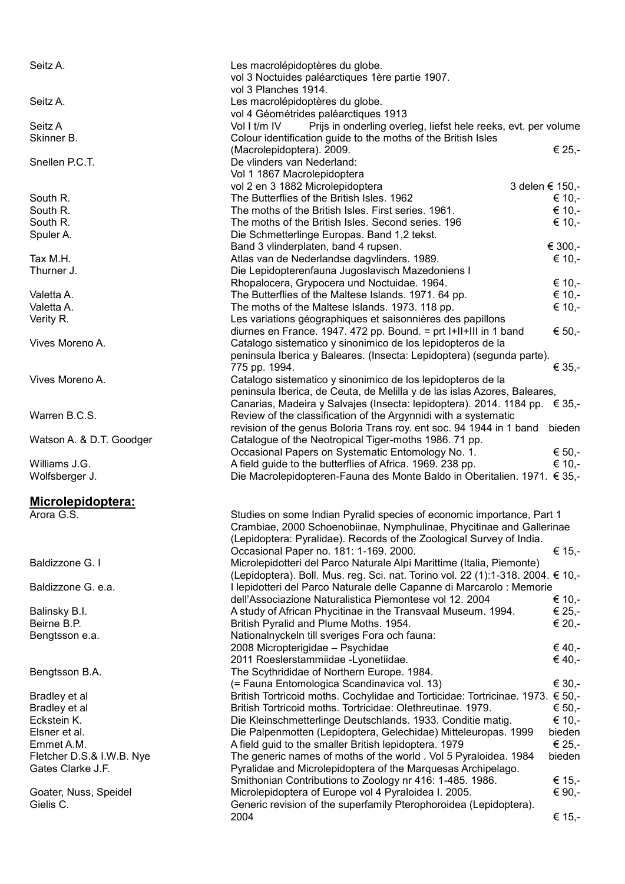Seitz A. Charles Macrolépidoptères du globe. vol 3 Noctuides paléarctiques 1ère partie 1907. vol 3 Planches 1914. Seitz A. Les macrolépidoptères du globe. vol 4 Géométrides paléarctiques 1913 Seitz A Vol I t/m IV Prijs in onderling overleg, liefst hele reeks, evt. per volume Skinner B. Colour identification guide to the moths of the British Isles (Macrolepidoptera). 2009.  $\epsilon$  25,-Snellen P.C.T. De vlinders van Nederland: Vol 1 1867 Macrolepidoptera vol 2 en 3 1882 Microlepidoptera 3 delen € 150,-South R.  $\epsilon$  10.-South R.  $\epsilon$  10.-<br>The moths of the British Isles. First series. 1961.  $\epsilon$  10.-South R.  $\epsilon$  10.-<br>The moths of the British Isles. Second series. 196  $\epsilon$  10.-Spuler A. Die Schmetterlinge Europas. Band 1,2 tekst. Band 3 vlinderplaten, band 4 rupsen.  $\epsilon$  300,-Tax M.H.  $\epsilon$  10,-<br>Atlas van de Nederlandse dagvlinders. 1989. Thurner J. Die Lepidopterenfauna Jugoslavisch Mazedoniens I Rhopalocera, Grypocera und Noctuidae. 1964.  $\epsilon$  10,-Valetta A.  $\epsilon$  10.-Valetta A.  $\epsilon$  10.-Verity R. Les variations géographiques et saisonnières des papillons diurnes en France. 1947. 472 pp. Bound. = prt  $|+||+|||$  in 1 band  $\in$  50,-Vives Moreno A. Catalogo sistematico y sinonimico de los lepidopteros de la peninsula Iberica y Baleares. (Insecta: Lepidoptera) (segunda parte).<br>775 pp. 1994. € 35,-775 pp. 1994. Vives Moreno A. Catalogo sistematico y sinonimico de los lepidopteros de la peninsula Iberica, de Ceuta, de Melilla y de las islas Azores, Baleares, Canarias, Madeira y Salvajes (Insecta: lepidoptera). 2014. 1184 pp. € 35,- Warren B.C.S. **Review of the classification of the Argynnidi with a systematic** revision of the genus Boloria Trans roy. ent soc. 94 1944 in 1 band bieden Watson A. & D.T. Goodger Catalogue of the Neotropical Tiger-moths 1986. 71 pp. Occasional Papers on Systematic Entomology No. 1.  $\epsilon$  50,-Williams J.G.  $\epsilon$  10,- $\epsilon$  10,- $\epsilon$  10,- $\epsilon$  10,- $\epsilon$  10,- $\epsilon$  10,- $\epsilon$  10,- $\epsilon$ Wolfsberger J. Die Macrolepidopteren-Fauna des Monte Baldo in Oberitalien. 1971. € 35,- **Microlepidoptera:** Arora G.S. Studies on some Indian Pyralid species of economic importance, Part 1 Crambiae, 2000 Schoenobiinae, Nymphulinae, Phycitinae and Gallerinae (Lepidoptera: Pyralidae). Records of the Zoological Survey of India. Occasional Paper no. 181: 1-169. 2000. € 15,- Baldizzone G. I **Microlepidotteri del Parco Naturale Alpi Marittime (Italia, Piemonte)** Microlepidotteri del Parco Naturale Alpi Marittime (Italia, Piemonte) (Lepidoptera). Boll. Mus. reg. Sci. nat. Torino vol. 22 (1):1-318. 2004. € 10,- Baldizzone G. e.a. **Ilepidotteri del Parco Naturale delle Capanne di Marcarolo : Memorie** dell'Associazione Naturalistica Piemontese vol 12. 2004 € 10,- Balinsky B.I. **A** study of African Phycitinae in the Transvaal Museum. 1994.  $\epsilon$  25,-Beirne B.P.  $\epsilon$  20,-<br>British Pyralid and Plume Moths. 1954. Bengtsson e.a. Nationalnyckeln till sveriges Fora och fauna: 2008 Micropterigidae – Psychidae  $\epsilon$  40,- $2011$  Roeslerstammiidae -Lyonetiidae.  $\epsilon$  40,-Bengtsson B.A. The Scythrididae of Northern Europe. 1984.  $($ = Fauna Entomologica Scandinavica vol. 13)  $\epsilon$  30,-Bradley et al British Tortricoid moths. Cochylidae and Torticidae: Tortricinae. 1973. € 50,-<br>British Tortricoid moths. Tortricidae: Olethreutinae. 1979. € 50.-British Tortricoid moths. Tortricidae: Olethreutinae. 1979.  $\epsilon$  50.-Eckstein K. Die Kleinschmetterlinge Deutschlands. 1933. Conditie matig. € 10,- Elsner et al. Die Palpenmotten (Lepidoptera, Gelechidae) Mitteleuropas. 1999 bieden Emmet A.M.  $\epsilon$  25,-<br>A field guid to the smaller British lepidoptera. 1979  $\epsilon$  25,-Fletcher D.S.& I.W.B. Nye The generic names of moths of the world . Vol 5 Pyraloidea. 1984 bieden Gates Clarke J.F. **Pyralidae and Microlepidoptera of the Marguesas Archipelago.** Smithonian Contributions to Zoology nr 416: 1-485. 1986.  $\epsilon$  15,-Goater, Nuss, Speidel  $\blacksquare$  Microlepidoptera of Europe vol 4 Pyraloidea I. 2005.  $\blacksquare$ Gielis C. **Generic revision of the superfamily Pterophoroidea (Lepidoptera).** Generic revision of the superfamily Pterophoroidea (Lepidoptera).  $2004$   $\epsilon$  15,-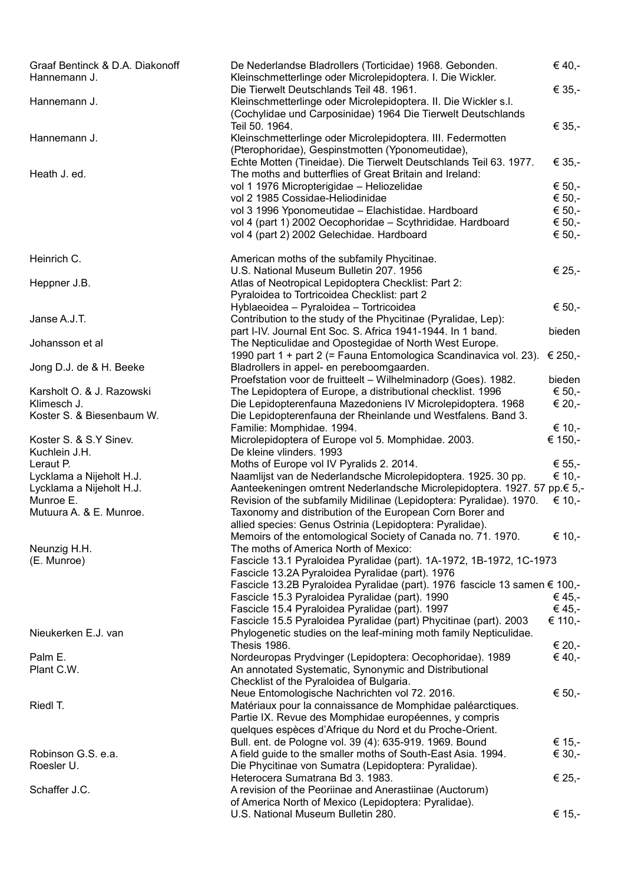| Graaf Bentinck & D.A. Diakonoff<br>Hannemann J. | De Nederlandse Bladrollers (Torticidae) 1968. Gebonden.<br>Kleinschmetterlinge oder Microlepidoptera. I. Die Wickler.                                                       | € 40,-           |
|-------------------------------------------------|-----------------------------------------------------------------------------------------------------------------------------------------------------------------------------|------------------|
| Hannemann J.                                    | Die Tierwelt Deutschlands Teil 48. 1961.<br>Kleinschmetterlinge oder Microlepidoptera. II. Die Wickler s.l.<br>(Cochylidae und Carposinidae) 1964 Die Tierwelt Deutschlands | € 35,-           |
| Hannemann J.                                    | Teil 50. 1964.<br>Kleinschmetterlinge oder Microlepidoptera. III. Federmotten<br>(Pterophoridae), Gespinstmotten (Yponomeutidae),                                           | € 35,-           |
| Heath J. ed.                                    | Echte Motten (Tineidae). Die Tierwelt Deutschlands Teil 63. 1977.<br>The moths and butterflies of Great Britain and Ireland:                                                | € 35,-           |
|                                                 | vol 1 1976 Micropterigidae - Heliozelidae                                                                                                                                   | € 50,-           |
|                                                 | vol 2 1985 Cossidae-Heliodinidae                                                                                                                                            | € 50,-           |
|                                                 | vol 3 1996 Yponomeutidae - Elachistidae. Hardboard                                                                                                                          | € 50,-           |
|                                                 | vol 4 (part 1) 2002 Oecophoridae - Scythrididae. Hardboard<br>vol 4 (part 2) 2002 Gelechidae. Hardboard                                                                     | € 50,-<br>€ 50,- |
| Heinrich C.                                     | American moths of the subfamily Phycitinae.<br>U.S. National Museum Bulletin 207. 1956                                                                                      | € 25,-           |
| Heppner J.B.                                    | Atlas of Neotropical Lepidoptera Checklist: Part 2:                                                                                                                         |                  |
|                                                 | Pyraloidea to Tortricoidea Checklist: part 2                                                                                                                                |                  |
|                                                 | Hyblaeoidea - Pyraloidea - Tortricoidea                                                                                                                                     | € 50,-           |
| Janse A.J.T.                                    | Contribution to the study of the Phycitinae (Pyralidae, Lep):                                                                                                               |                  |
|                                                 | part I-IV. Journal Ent Soc. S. Africa 1941-1944. In 1 band.                                                                                                                 | bieden           |
| Johansson et al                                 | The Nepticulidae and Opostegidae of North West Europe.                                                                                                                      |                  |
|                                                 | 1990 part 1 + part 2 (= Fauna Entomologica Scandinavica vol. 23).                                                                                                           | € 250,-          |
| Jong D.J. de & H. Beeke                         | Bladrollers in appel- en pereboomgaarden.                                                                                                                                   |                  |
|                                                 | Proefstation voor de fruitteelt - Wilhelminadorp (Goes). 1982.                                                                                                              | bieden           |
| Karsholt O. & J. Razowski                       | The Lepidoptera of Europe, a distributional checklist. 1996                                                                                                                 | € 50,-           |
| Klimesch J.                                     | Die Lepidopterenfauna Mazedoniens IV Microlepidoptera. 1968                                                                                                                 | € 20,-           |
| Koster S. & Biesenbaum W.                       | Die Lepidopterenfauna der Rheinlande und Westfalens. Band 3.<br>Familie: Momphidae. 1994.                                                                                   | € 10,-           |
| Koster S. & S.Y Sinev.                          | Microlepidoptera of Europe vol 5. Momphidae. 2003.                                                                                                                          | € 150,-          |
| Kuchlein J.H.                                   | De kleine vlinders. 1993                                                                                                                                                    |                  |
| Leraut P.                                       | Moths of Europe vol IV Pyralids 2. 2014.                                                                                                                                    | € 55,-           |
| Lycklama a Nijeholt H.J.                        | Naamlijst van de Nederlandsche Microlepidoptera. 1925. 30 pp.                                                                                                               | € 10,-           |
| Lycklama a Nijeholt H.J.                        | Aanteekeningen omtrent Nederlandsche Microlepidoptera. 1927. 57 pp.€ 5,-                                                                                                    |                  |
| Munroe E.                                       | Revision of the subfamily Midilinae (Lepidoptera: Pyralidae). 1970.                                                                                                         | € 10,-           |
| Mutuura A. & E. Munroe.                         | Taxonomy and distribution of the European Corn Borer and<br>allied species: Genus Ostrinia (Lepidoptera: Pyralidae).                                                        |                  |
|                                                 | Memoirs of the entomological Society of Canada no. 71. 1970.                                                                                                                | € 10,-           |
| Neunzig H.H.                                    | The moths of America North of Mexico:                                                                                                                                       |                  |
| (E. Munroe)                                     | Fascicle 13.1 Pyraloidea Pyralidae (part). 1A-1972, 1B-1972, 1C-1973<br>Fascicle 13.2A Pyraloidea Pyralidae (part). 1976                                                    |                  |
|                                                 | Fascicle 13.2B Pyraloidea Pyralidae (part). 1976 fascicle 13 samen € 100,-                                                                                                  |                  |
|                                                 | Fascicle 15.3 Pyraloidea Pyralidae (part). 1990                                                                                                                             | € 45,-           |
|                                                 | Fascicle 15.4 Pyraloidea Pyralidae (part). 1997                                                                                                                             | € 45,-           |
|                                                 | Fascicle 15.5 Pyraloidea Pyralidae (part) Phycitinae (part). 2003                                                                                                           | € 110,-          |
| Nieukerken E.J. van                             | Phylogenetic studies on the leaf-mining moth family Nepticulidae.<br>Thesis 1986.                                                                                           | € 20,-           |
| Palm E.                                         | Nordeuropas Prydvinger (Lepidoptera: Oecophoridae). 1989                                                                                                                    | € 40,-           |
| Plant C.W.                                      | An annotated Systematic, Synonymic and Distributional                                                                                                                       |                  |
|                                                 | Checklist of the Pyraloidea of Bulgaria.                                                                                                                                    |                  |
|                                                 | Neue Entomologische Nachrichten vol 72. 2016.                                                                                                                               | € 50,-           |
| Riedl T.                                        | Matériaux pour la connaissance de Momphidae paléarctiques.                                                                                                                  |                  |
|                                                 | Partie IX. Revue des Momphidae européennes, y compris                                                                                                                       |                  |
|                                                 | quelques espèces d'Afrique du Nord et du Proche-Orient.                                                                                                                     |                  |
|                                                 | Bull. ent. de Pologne vol. 39 (4): 635-919. 1969. Bound                                                                                                                     | € 15,-           |
| Robinson G.S. e.a.                              | A field guide to the smaller moths of South-East Asia. 1994.                                                                                                                | € 30,-           |
| Roesler U.                                      | Die Phycitinae von Sumatra (Lepidoptera: Pyralidae).                                                                                                                        |                  |
|                                                 | Heterocera Sumatrana Bd 3. 1983.                                                                                                                                            | € 25,-           |
| Schaffer J.C.                                   | A revision of the Peoriinae and Anerastiinae (Auctorum)                                                                                                                     |                  |
|                                                 | of America North of Mexico (Lepidoptera: Pyralidae).                                                                                                                        |                  |
|                                                 | U.S. National Museum Bulletin 280.                                                                                                                                          | € 15,-           |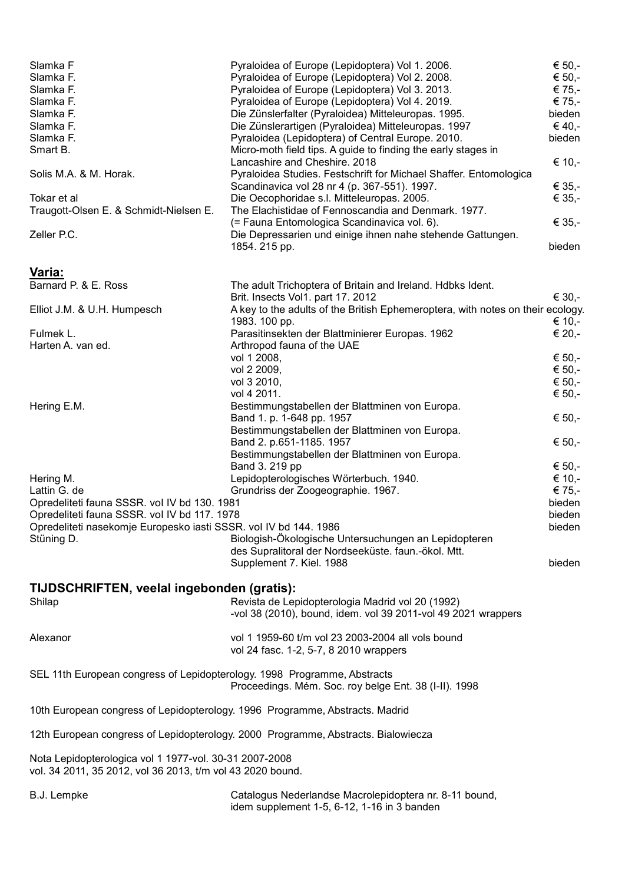| Slamka F<br>Slamka F.<br>Slamka F.<br>Slamka F.<br>Slamka F.<br>Slamka F.<br>Slamka F.<br>Smart B.<br>Solis M.A. & M. Horak.<br>Tokar et al<br>Traugott-Olsen E. & Schmidt-Nielsen E.<br>Zeller P.C.        | Pyraloidea of Europe (Lepidoptera) Vol 1. 2006.<br>Pyraloidea of Europe (Lepidoptera) Vol 2. 2008.<br>Pyraloidea of Europe (Lepidoptera) Vol 3. 2013.<br>Pyraloidea of Europe (Lepidoptera) Vol 4. 2019.<br>Die Zünslerfalter (Pyraloidea) Mitteleuropas. 1995.<br>Die Zünslerartigen (Pyraloidea) Mitteleuropas. 1997<br>Pyraloidea (Lepidoptera) of Central Europe. 2010.<br>Micro-moth field tips. A guide to finding the early stages in<br>Lancashire and Cheshire. 2018<br>Pyraloidea Studies. Festschrift for Michael Shaffer. Entomologica<br>Scandinavica vol 28 nr 4 (p. 367-551). 1997.<br>Die Oecophoridae s.l. Mitteleuropas. 2005.<br>The Elachistidae of Fennoscandia and Denmark. 1977.<br>(= Fauna Entomologica Scandinavica vol. 6).<br>Die Depressarien und einige ihnen nahe stehende Gattungen.<br>1854. 215 pp. | € 50,-<br>€ 50,-<br>€ 75,-<br>€ 75,-<br>bieden<br>€ 40,-<br>bieden<br>€ 10,-<br>€ 35,-<br>€ 35,-<br>€ 35,-<br>bieden |
|-------------------------------------------------------------------------------------------------------------------------------------------------------------------------------------------------------------|---------------------------------------------------------------------------------------------------------------------------------------------------------------------------------------------------------------------------------------------------------------------------------------------------------------------------------------------------------------------------------------------------------------------------------------------------------------------------------------------------------------------------------------------------------------------------------------------------------------------------------------------------------------------------------------------------------------------------------------------------------------------------------------------------------------------------------------|----------------------------------------------------------------------------------------------------------------------|
| Varia:<br>Barnard P. & E. Ross                                                                                                                                                                              | The adult Trichoptera of Britain and Ireland. Hdbks Ident.                                                                                                                                                                                                                                                                                                                                                                                                                                                                                                                                                                                                                                                                                                                                                                            |                                                                                                                      |
| Elliot J.M. & U.H. Humpesch                                                                                                                                                                                 | Brit. Insects Vol1. part 17. 2012<br>A key to the adults of the British Ephemeroptera, with notes on their ecology.<br>1983. 100 pp.                                                                                                                                                                                                                                                                                                                                                                                                                                                                                                                                                                                                                                                                                                  | € 30,-<br>€ 10,-                                                                                                     |
| Fulmek L.<br>Harten A. van ed.                                                                                                                                                                              | Parasitinsekten der Blattminierer Europas. 1962<br>Arthropod fauna of the UAE                                                                                                                                                                                                                                                                                                                                                                                                                                                                                                                                                                                                                                                                                                                                                         | € 20,-                                                                                                               |
| Hering E.M.                                                                                                                                                                                                 | vol 1 2008,<br>vol 2 2009,<br>vol 3 2010,<br>vol 4 2011.<br>Bestimmungstabellen der Blattminen von Europa.                                                                                                                                                                                                                                                                                                                                                                                                                                                                                                                                                                                                                                                                                                                            | € 50,-<br>€ 50,-<br>€ 50,-<br>€ 50,-                                                                                 |
|                                                                                                                                                                                                             | Band 1. p. 1-648 pp. 1957<br>Bestimmungstabellen der Blattminen von Europa.<br>Band 2. p.651-1185. 1957<br>Bestimmungstabellen der Blattminen von Europa.                                                                                                                                                                                                                                                                                                                                                                                                                                                                                                                                                                                                                                                                             | € 50,-<br>€ 50,-                                                                                                     |
| Hering M.<br>Lattin G. de<br>Opredeliteti fauna SSSR. vol IV bd 130. 1981<br>Opredeliteti fauna SSSR. vol IV bd 117. 1978<br>Opredeliteti nasekomje Europesko iasti SSSR. vol IV bd 144. 1986<br>Stüning D. | Band 3. 219 pp<br>Lepidopterologisches Wörterbuch. 1940.<br>Grundriss der Zoogeographie. 1967.<br>Biologish-Ökologische Untersuchungen an Lepidopteren<br>des Supralitoral der Nordseeküste. faun.-ökol. Mtt.<br>Supplement 7. Kiel. 1988                                                                                                                                                                                                                                                                                                                                                                                                                                                                                                                                                                                             | € 50,-<br>€ 10,-<br>€ 75,-<br>bieden<br>bieden<br>bieden<br>bieden                                                   |
| TIJDSCHRIFTEN, veelal ingebonden (gratis):<br>Shilap                                                                                                                                                        | Revista de Lepidopterologia Madrid vol 20 (1992)<br>-vol 38 (2010), bound, idem. vol 39 2011-vol 49 2021 wrappers                                                                                                                                                                                                                                                                                                                                                                                                                                                                                                                                                                                                                                                                                                                     |                                                                                                                      |
| Alexanor                                                                                                                                                                                                    | vol 1 1959-60 t/m vol 23 2003-2004 all vols bound<br>vol 24 fasc. 1-2, 5-7, 8 2010 wrappers                                                                                                                                                                                                                                                                                                                                                                                                                                                                                                                                                                                                                                                                                                                                           |                                                                                                                      |
| SEL 11th European congress of Lepidopterology. 1998 Programme, Abstracts                                                                                                                                    | Proceedings. Mém. Soc. roy belge Ent. 38 (I-II). 1998                                                                                                                                                                                                                                                                                                                                                                                                                                                                                                                                                                                                                                                                                                                                                                                 |                                                                                                                      |
| 10th European congress of Lepidopterology. 1996 Programme, Abstracts. Madrid                                                                                                                                |                                                                                                                                                                                                                                                                                                                                                                                                                                                                                                                                                                                                                                                                                                                                                                                                                                       |                                                                                                                      |
|                                                                                                                                                                                                             | 12th European congress of Lepidopterology. 2000 Programme, Abstracts. Bialowiecza                                                                                                                                                                                                                                                                                                                                                                                                                                                                                                                                                                                                                                                                                                                                                     |                                                                                                                      |
| Nota Lepidopterologica vol 1 1977-vol. 30-31 2007-2008<br>vol. 34 2011, 35 2012, vol 36 2013, t/m vol 43 2020 bound.                                                                                        |                                                                                                                                                                                                                                                                                                                                                                                                                                                                                                                                                                                                                                                                                                                                                                                                                                       |                                                                                                                      |
| B.J. Lempke                                                                                                                                                                                                 | Catalogus Nederlandse Macrolepidoptera nr. 8-11 bound,<br>idem supplement 1-5, 6-12, 1-16 in 3 banden                                                                                                                                                                                                                                                                                                                                                                                                                                                                                                                                                                                                                                                                                                                                 |                                                                                                                      |